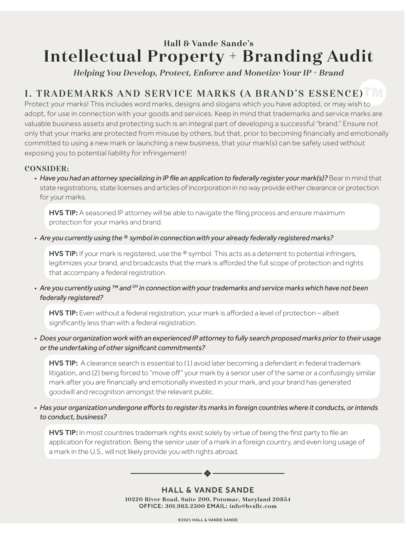# Hall & Vande Sande's Intellectual Property + Branding Audit

Helping You Develop, Protect, Enforce and Monetize Your IP + Brand

# I. TRADEMARKS AND SERVICE MARKS (A BRAND'S ESSENCE)

Protect your marks! This includes word marks, designs and slogans which you have adopted, or may wish to adopt, for use in connection with your goods and services. Keep in mind that trademarks and service marks are valuable business assets and protecting such is an integral part of developing a successful "brand." Ensure not only that your marks are protected from misuse by others, but that, prior to becoming financially and emotionally committed to using a new mark or launching a new business, that your mark(s) can be safely used without exposing you to potential liability for infringement!

## CONSIDER:

• *Have you had an attorney specializing in IP file an application to federally register your mark(s)?* Bear in mind that state registrations, state licenses and articles of incorporation in no way provide either clearance or protection for your marks.

HVS TIP: A seasoned IP attorney will be able to navigate the filing process and ensure maximum protection for your marks and brand.

• *Are you currently using the ® symbol in connection with your already federally registered marks?*

HVS TIP: If your mark is registered, use the ® symbol. This acts as a deterrent to potential infringers, legitimizes your brand, and broadcasts that the mark is afforded the full scope of protection and rights that accompany a federal registration.

• *Are you currently using ™ and SM in connection with your trademarks and service marks which have not been federally registered?*

HVS TIP: Even without a federal registration, your mark is afforded a level of protection - albeit significantly less than with a federal registration.

• *Does your organization work with an experienced IP attorney to fully search proposed marks prior to their usage or the undertaking of other significant commitments?* 

HVS TIP: A clearance search is essential to (1) avoid later becoming a defendant in federal trademark litigation, and (2) being forced to "move off" your mark by a senior user of the same or a confusingly similar mark after you are financially and emotionally invested in your mark, and your brand has generated goodwill and recognition amongst the relevant public.

• *Has your organization undergone efforts to register its marks in foreign countries where it conducts, or intends to conduct, business?*

HVS TIP: In most countries trademark rights exist solely by virtue of being the first party to file an application for registration. Being the senior user of a mark in a foreign country, and even long usage of a mark in the U.S., will not likely provide you with rights abroad.

> HALL & VANDE SANDE 10220 River Road, Suite 200, Potomac, Maryland 20854 OFFICE: 301.983.2500 EMAIL: info@hvsllc.com

 $\clubsuit$  -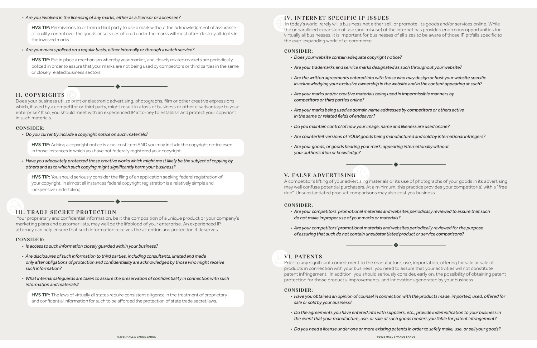#### • *Are you involved in the licensing of any marks, either as a licensor or a licensee?*

HVS TIP: Permissions to or from a third party to use a mark without the acknowledgment of assurance of quality control over the goods or services offered under the marks will most often destroy all rights in the involved marks.

**HVS TIP:** Put in place a mechanism whereby your market, and closely related markets are periodically policed in order to assure that your marks are not being used by competitors or third parties in the same or closely related business sectors.

• *Are your marks policed on a regular basis, either internally or through a watch service?*

**HVS TIP:** Adding a copyright notice is a no-cost item AND you may include the copyright notice even in those instances in which you have not federally registered your copyright.

## II. COPYRIGHTS

**HVS TIP:** You should seriously consider the filing of an application seeking federal registration of your copyright. In almost all instances federal copyright registration is a relatively simple and inexpensive undertaking.

Does your business utilize print or electronic advertising, photographs, film or other creative expressions which, if used by a competitor or third party, might result in a loss of business or other disadvantage to your enterprise? If so, you should meet with an experienced IP attorney to establish and protect your copyright in such materials.

#### CONSIDER:

• *Do you currently include a copyright notice on such materials?* 

HVS TIP: The laws of virtually all states require consistent diligence in the treatment of proprietary and confidential information for such to be afforded the protection of state trade secret laws.

• *Have you adequately protected those creative works which might most likely be the subject of copying by others and as to which such copying might significantly harm your business?*

## III. TRADE SECRET PROTECTION

 Your proprietary and confidential information, be it the composition of a unique product or your company's marketing plans and customer lists, may well be the lifeblood of your enterprise. An experienced IP attorney can help ensure that such information receives the attention and protection it deserves.

#### CONSIDER:

- *Is access to such information closely guarded within your business?*
- *Are disclosures of such information to third parties, including consultants, limited and made only after obligations of protection and confidentiality are acknowledged by those who might receive such information?*
- *What internal safeguards are taken to assure the preservation of confidentiality in connection with such information and materials?*

### IV. INTERNET SPECIFIC IP ISSUES

 In today's world, rarely will a business not either sell, or promote, its goods and/or services online. While the unparalleled expansion of use (and misuse) of the internet has provided enormous opportunities for virtually all businesses, it is important for businesses of all sizes to be aware of those IP pitfalls specific to the ever-expanding world of e-commerce

#### CONSIDER:

- *Does your website contain adequate copyright notice?*
- *Are your trademarks and service marks designated as such throughout your website?*
- *Are the written agreements entered into with those who may design or host your website specific in acknowledging your exclusive ownership in the website and in the content appearing at such?*
- *Are your marks and/or creative materials being used in impermissible manners by competitors or third parties online?*
- *Are your marks being used as domain name addresses by competitors or others active in the same or related fields of endeavor?*
- *Do you maintain control of how your image, name and likeness are used online?*
- *Are counterfeit versions of YOUR goods being manufactured and sold by international infringers?*
- *Are your goods, or goods bearing your mark, appearing internationally without your authorization or knowledge?*

### V. FALSE ADVERTISING

A competitor's lifting of your advertising materials or its use of photographs of your goods in its advertising may well confuse potential purchasers. At a minimum, this practice provides your competitor(s) with a "free ride". Unsubstantiated product comparisons may also cost you business.

#### CONSIDER:

- *Are your competitors' promotional materials and websites periodically reviewed to assure that such do not make improper use of your marks or materials?*
- *Are your competitors' promotional materials and websites periodically reviewed for the purpose of assuring that such do not contain unsubstantiated product or service comparisons?*

# VI. PATENTS

Prior to any significant commitment to the manufacture, use, importation, offering for sale or sale of products in connection with your business, you need to assure that your activities will not constitute patent infringement. In addition, you should seriously consider, early on, the possibility of obtaining patent protection for those products, improvements, and innovations generated by your business.

#### CONSIDER:

• *Have you obtained an opinion of counsel in connection with the products made, imported, used, offered for* 

- *sale or sold by your business?*
- 
- 

• *Do the agreements you have entered into with suppliers, etc., provide indemnification to your business in the event that your manufacture, use, or sale of such goods renders you liable for patent infringement?*

• *Do you need a license under one or more existing patents in order to safely make, use, or sell your goods?*